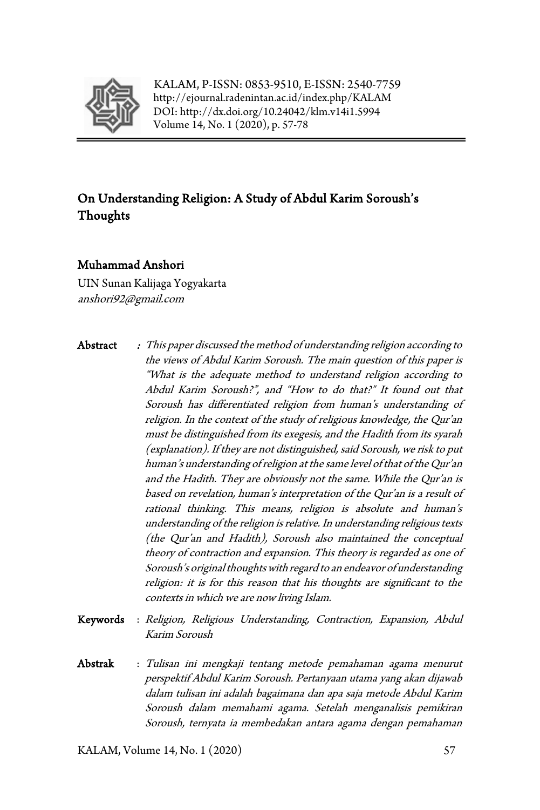

KALAM, P-ISSN: 0853-9510, E-ISSN: 2540-7759 <http://ejournal.radenintan.ac.id/index.php/KALAM> DOI: <http://dx.doi.org/10.24042/klm.v14i1.5994> Volume 14, No. 1 (2020), p. 57-78

# On Understanding Religion: A Study of Abdul Karim Soroush's Thoughts

#### Muhammad Anshori

UIN Sunan Kalijaga Yogyakarta [anshori92@gmail.com](mailto:anshori92@gmail.com)

- Abstract : This paper discussed the method of understanding religion according to the views of Abdul Karim Soroush. The main question of this paper is "What is the adequate method to understand religion according to Abdul Karim Soroush?", and "How to do that?" It found out that Soroush has differentiated religion from human's understanding of religion. In the context of the study of religious knowledge, the Qur'an must be distinguished from its exegesis, and the Hadith from its syarah (explanation). If they are not distinguished, said Soroush, we risk to put human's understanding of religion at the same level of that of the Qur'an and the Hadith. They are obviously not the same. While the Qur'an is based on revelation, human's interpretation of the Qur'an is a result of rational thinking. This means, religion is absolute and human's understanding of the religion is relative. In understanding religious texts (the Qur'an and Hadith), Soroush also maintained the conceptual theory of contraction and expansion. This theory is regarded as one of Soroush's original thoughts with regard to an endeavor of understanding religion: it is for this reason that his thoughts are significant to the contexts in which we are now living Islam.
- Keywords : Religion, Religious Understanding, Contraction, Expansion, Abdul Karim Soroush
- Abstrak : Tulisan ini mengkaji tentang metode pemahaman agama menurut perspektif Abdul Karim Soroush. Pertanyaan utama yang akan dijawab dalam tulisan ini adalah bagaimana dan apa saja metode Abdul Karim Soroush dalam memahami agama. Setelah menganalisis pemikiran Soroush, ternyata ia membedakan antara agama dengan pemahaman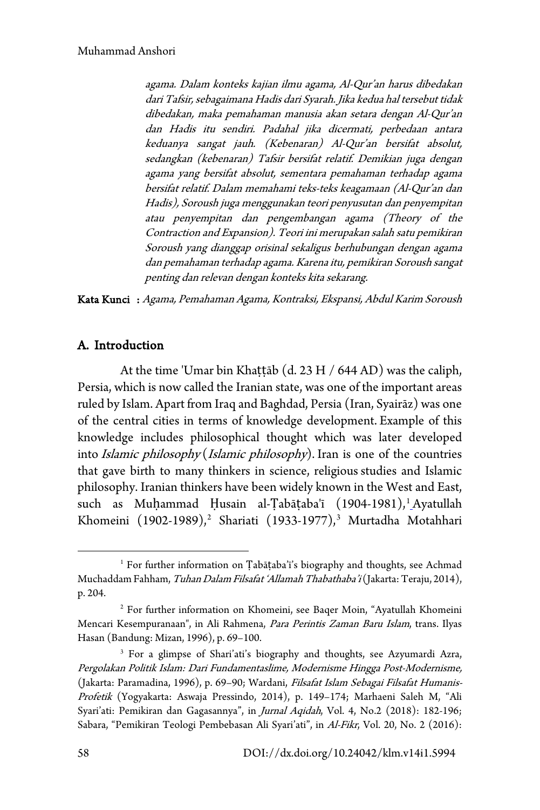agama. Dalam konteks kajian ilmu agama, Al-Qur'an harus dibedakan dari Tafsir, sebagaimana Hadis dari Syarah. Jika kedua hal tersebut tidak dibedakan, maka pemahaman manusia akan setara dengan Al-Qur'an dan Hadis itu sendiri. Padahal jika dicermati, perbedaan antara keduanya sangat jauh. (Kebenaran) Al-Qur'an bersifat absolut, sedangkan (kebenaran) Tafsir bersifat relatif. Demikian juga dengan agama yang bersifat absolut, sementara pemahaman terhadap agama bersifat relatif. Dalam memahami teks-teks keagamaan (Al-Qur'an dan Hadis), Soroush juga menggunakan teori penyusutan dan penyempitan atau penyempitan dan pengembangan agama (Theory of the Contraction and Expansion). Teori ini merupakan salah satu pemikiran Soroush yang dianggap orisinal sekaligus berhubungan dengan agama dan pemahaman terhadap agama. Karena itu, pemikiran Soroush sangat penting dan relevan dengan konteks kita sekarang.

Kata Kunci : Agama, Pemahaman Agama, Kontraksi, Ekspansi, Abdul Karim Soroush

### A. Introduction

At the time 'Umar bin Khattāb (d. 23 H / 644 AD) was the caliph, Persia, which is now called the Iranian state, was one of the important areas ruled by Islam. Apart from Iraq and Baghdad, Persia (Iran, Syairāz) was one of the central cities in terms of knowledge development. Example of this knowledge includes philosophical thought which was later developed into *Islamic philosophy* (*Islamic philosophy*). Iran is one of the countries that gave birth to many thinkers in science, religious studies and Islamic philosophy. Iranian thinkers have been widely known in the West and East, such as Muḥammad Ḥusain al-Ṭabāṭaba'ī ([1](#page-1-0)904-1981), Ayatullah Khomeini (190[2](#page-1-1)-1989),<sup>2</sup> Shariati (19[3](#page-1-2)3-1977),<sup>3</sup> Murtadha Motahhari

<span id="page-1-0"></span><sup>&</sup>lt;sup>1</sup> For further information on Țabāṭaba'ī's biography and thoughts, see Achmad Muchaddam Fahham, Tuhan Dalam Filsafat 'Allamah Thabathaba'i (Jakarta: Teraju, 2014), p. 204.

<span id="page-1-1"></span><sup>&</sup>lt;sup>2</sup> For further information on Khomeini, see Baqer Moin, "Ayatullah Khomeini Mencari Kesempuranaan", in Ali Rahmena, Para Perintis Zaman Baru Islam, trans. Ilyas Hasan (Bandung: Mizan, 1996), p. 69–100.

<span id="page-1-2"></span><sup>&</sup>lt;sup>3</sup> For a glimpse of Shari'ati's biography and thoughts, see Azyumardi Azra, Pergolakan Politik Islam: Dari Fundamentaslime, Modernisme Hingga Post-Modernisme, (Jakarta: Paramadina, 1996), p. 69–90; Wardani, Filsafat Islam Sebagai Filsafat Humanis-Profetik (Yogyakarta: Aswaja Pressindo, 2014), p. 149–174; Marhaeni Saleh M, "Ali Syari'ati: Pemikiran dan Gagasannya", in Jurnal Aqidah, Vol. 4, No.2 (2018): 182-196; Sabara, "Pemikiran Teologi Pembebasan Ali Syari'ati", in Al-Fikr, Vol. 20, No. 2 (2016):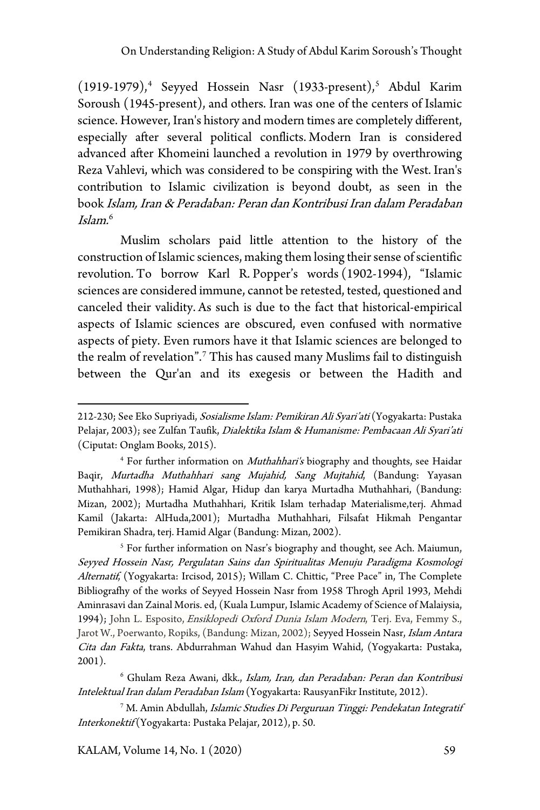$(1919-1979)$ ,<sup>[4](#page-2-0)</sup> Seyyed Hossein Nasr  $(1933$ -present),<sup>[5](#page-2-1)</sup> Abdul Karim Soroush (1945-present), and others. Iran was one of the centers of Islamic science. However, Iran's history and modern times are completely different, especially after several political conflicts. Modern Iran is considered advanced after Khomeini launched a revolution in 1979 by overthrowing Reza Vahlevi, which was considered to be conspiring with the West. Iran's contribution to Islamic civilization is beyond doubt, as seen in the book Islam, Iran & Peradaban: Peran dan Kontribusi Iran dalam Peradaban Islam. [6](#page-2-2)

Muslim scholars paid little attention to the history of the construction of Islamic sciences, making them losing their sense of scientific revolution. To borrow Karl R. Popper's words (1902-1994), "Islamic sciences are considered immune, cannot be retested, tested, questioned and canceled their validity. As such is due to the fact that historical-empirical aspects of Islamic sciences are obscured, even confused with normative aspects of piety. Even rumors have it that Islamic sciences are belonged to the realm of revelation".[7](#page-2-3) This has caused many Muslims fail to distinguish between the Qur'an and its exegesis or between the Hadith and

<span id="page-2-1"></span><sup>5</sup> For further information on Nasr's biography and thought, see Ach. Maiumun, Seyyed Hossein Nasr, Pergulatan Sains dan Spiritualitas Menuju Paradigma Kosmologi Alternatif, (Yogyakarta: Ircisod, 2015); Willam C. Chittic, "Pree Pace" in, The Complete Bibliografhy of the works of Seyyed Hossein Nasr from 1958 Throgh April 1993, Mehdi Aminrasavi dan Zainal Moris. ed, (Kuala Lumpur, Islamic Academy of Science of Malaiysia, 1994); John L. Esposito, *Ensiklopedi Oxford Dunia Islam Modern*, Terj. Eva, Femmy S., Jarot W., Poerwanto, Ropiks, (Bandung: Mizan, 2002); Seyyed Hossein Nasr, Islam Antara Cita dan Fakta, trans. Abdurrahman Wahud dan Hasyim Wahid, (Yogyakarta: Pustaka, 2001).

<span id="page-2-2"></span><sup>6</sup> Ghulam Reza Awani, dkk., Islam, Iran, dan Peradaban: Peran dan Kontribusi Intelektual Iran dalam Peradaban Islam (Yogyakarta: RausyanFikr Institute, 2012).

<span id="page-2-3"></span><sup>7</sup> M. Amin Abdullah, Islamic Studies Di Perguruan Tinggi: Pendekatan Integratif Interkonektif (Yogyakarta: Pustaka Pelajar, 2012), p. 50.

KALAM, Volume 14, No. 1 (2020) 59

<sup>212-230;</sup> See Eko Supriyadi, Sosialisme Islam: Pemikiran Ali Syari'ati (Yogyakarta: Pustaka Pelajar, 2003); see Zulfan Taufik, Dialektika Islam & Humanisme: Pembacaan Ali Syari'ati (Ciputat: Onglam Books, 2015).

<span id="page-2-0"></span><sup>&</sup>lt;sup>4</sup> For further information on *Muthahhari's* biography and thoughts, see Haidar Baqir, Murtadha Muthahhari sang Mujahid, Sang Mujtahid, (Bandung: Yayasan Muthahhari, 1998); Hamid Algar, Hidup dan karya Murtadha Muthahhari, (Bandung: Mizan, 2002); Murtadha Muthahhari, Kritik Islam terhadap Materialisme,terj. Ahmad Kamil (Jakarta: AlHuda,2001); Murtadha Muthahhari, Filsafat Hikmah Pengantar Pemikiran Shadra, terj. Hamid Algar (Bandung: Mizan, 2002).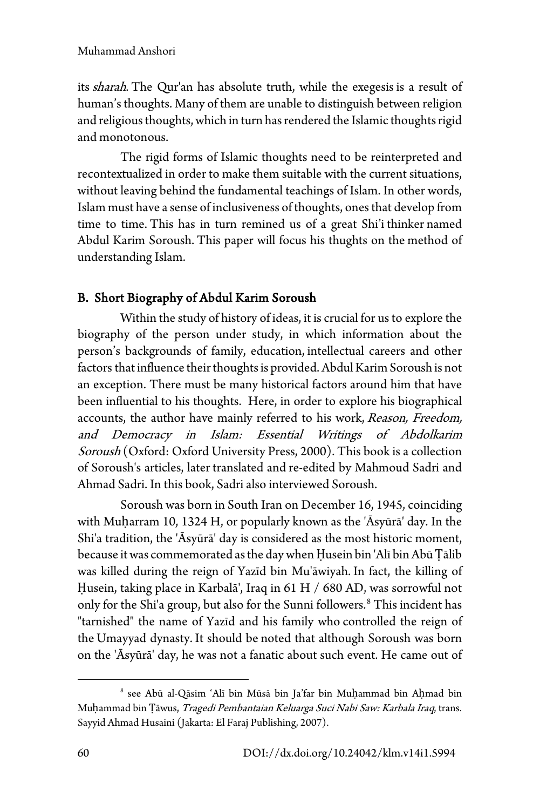its *sharah*. The Qur'an has absolute truth, while the exegesis is a result of human's thoughts. Many of them are unable to distinguish between religion and religious thoughts, which in turn has rendered the Islamic thoughts rigid and monotonous.

The rigid forms of Islamic thoughts need to be reinterpreted and recontextualized in order to make them suitable with the current situations, without leaving behind the fundamental teachings of Islam. In other words, Islam must have a sense of inclusiveness of thoughts, ones that develop from time to time. This has in turn remined us of a great Shi'i thinker named Abdul Karim Soroush. This paper will focus his thughts on the method of understanding Islam.

# B. Short Biography of Abdul Karim Soroush

Within the study of history of ideas, it is crucial for us to explore the biography of the person under study, in which information about the person's backgrounds of family, education, intellectual careers and other factors that influence their thoughts is provided. Abdul Karim Soroush is not an exception. There must be many historical factors around him that have been influential to his thoughts. Here, in order to explore his biographical accounts, the author have mainly referred to his work, Reason, Freedom, and Democracy in Islam: Essential Writings of Abdolkarim Soroush (Oxford: Oxford University Press, 2000). This book is a collection of Soroush's articles, later translated and re-edited by Mahmoud Sadri and Ahmad Sadri. In this book, Sadri also interviewed Soroush.

Soroush was born in South Iran on December 16, 1945, coinciding with Muharram 10, 1324 H, or popularly known as the 'Āsyūrā' day. In the Shi'a tradition, the 'Āsyūrā' day is considered as the most historic moment, because it was commemorated as the day when Ḥusein bin 'Alī bin Abū Ṭālib was killed during the reign of Yazīd bin Mu'āwiyah. In fact, the killing of Ḥusein, taking place in Karbalā', Iraq in 61 H / 680 AD, was sorrowful not only for the Shi'a group, but also for the Sunni followers.<sup>[8](#page-3-0)</sup> This incident has "tarnished" the name of Yazīd and his family who controlled the reign of the Umayyad dynasty. It should be noted that although Soroush was born on the 'Āsyūrā' day, he was not a fanatic about such event. He came out of

<span id="page-3-0"></span><sup>8</sup> see Abū al-Qāsim 'Alī bin Mūsā bin Ja'far bin Muḥammad bin Aḥmad bin Muḥammad bin Ṭāwus, Tragedi Pembantaian Keluarga Suci Nabi Saw: Karbala Iraq, trans. Sayyid Ahmad Husaini (Jakarta: El Faraj Publishing, 2007).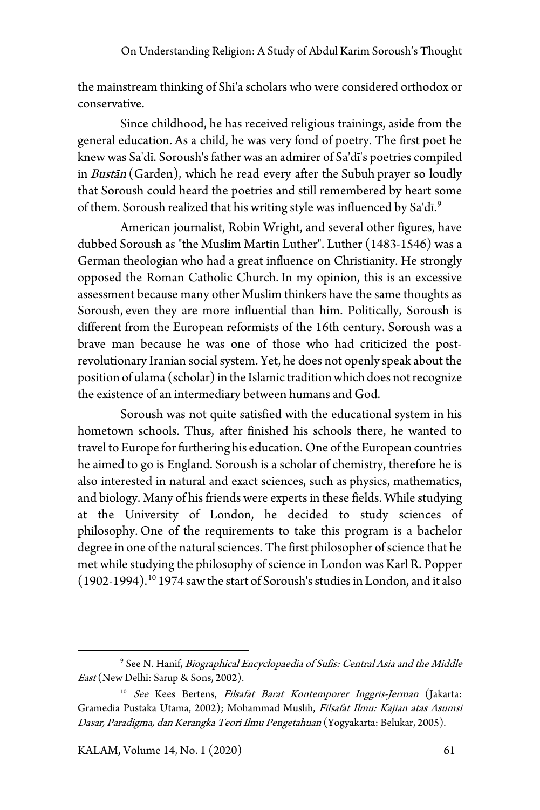the mainstream thinking of Shi'a scholars who were considered orthodox or conservative.

Since childhood, he has received religious trainings, aside from the general education. As a child, he was very fond of poetry. The first poet he knew was Sa'dī. Soroush's father was an admirer of Sa'dī's poetries compiled in *Bustān* (Garden), which he read every after the Subuh prayer so loudly that Soroush could heard the poetries and still remembered by heart some of them. Soroush realized that his writing style was influenced by Sa'dī.<sup>[9](#page-4-0)</sup>

American journalist, Robin Wright, and several other figures, have dubbed Soroush as "the Muslim Martin Luther". Luther (1483-1546) was a German theologian who had a great influence on Christianity. He strongly opposed the Roman Catholic Church. In my opinion, this is an excessive assessment because many other Muslim thinkers have the same thoughts as Soroush, even they are more influential than him. Politically, Soroush is different from the European reformists of the 16th century. Soroush was a brave man because he was one of those who had criticized the postrevolutionary Iranian social system. Yet, he does not openly speak about the position of ulama (scholar) in the Islamic tradition which does not recognize the existence of an intermediary between humans and God.

Soroush was not quite satisfied with the educational system in his hometown schools. Thus, after finished his schools there, he wanted to travel to Europe for furthering his education. One of the European countries he aimed to go is England. Soroush is a scholar of chemistry, therefore he is also interested in natural and exact sciences, such as physics, mathematics, and biology. Many of his friends were experts in these fields. While studying at the University of London, he decided to study sciences of philosophy. One of the requirements to take this program is a bachelor degree in one of the natural sciences. The first philosopher of science that he met while studying the philosophy of science in London was Karl R. Popper (1902-1994).[10](#page-4-1) 1974 saw the start of Soroush's studies in London, and it also

<span id="page-4-0"></span><sup>&</sup>lt;sup>9</sup> See N. Hanif, Biographical Encyclopaedia of Sufis: Central Asia and the Middle East (New Delhi: Sarup & Sons, 2002).

<span id="page-4-1"></span><sup>&</sup>lt;sup>10</sup> See Kees Bertens, Filsafat Barat Kontemporer Inggris-Jerman (Jakarta: Gramedia Pustaka Utama, 2002); Mohammad Muslih, Filsafat Ilmu: Kajian atas Asumsi Dasar, Paradigma, dan Kerangka Teori Ilmu Pengetahuan (Yogyakarta: Belukar, 2005).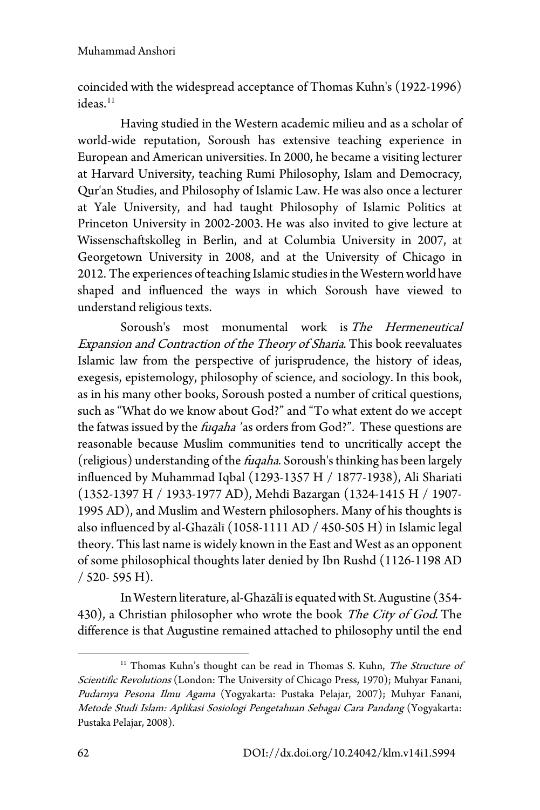coincided with the widespread acceptance of Thomas Kuhn's (1922-1996) ideas.<sup>[11](#page-5-0)</sup>

Having studied in the Western academic milieu and as a scholar of world-wide reputation, Soroush has extensive teaching experience in European and American universities. In 2000, he became a visiting lecturer at Harvard University, teaching Rumi Philosophy, Islam and Democracy, Qur'an Studies, and Philosophy of Islamic Law. He was also once a lecturer at Yale University, and had taught Philosophy of Islamic Politics at Princeton University in 2002-2003. He was also invited to give lecture at Wissenschaftskolleg in Berlin, and at Columbia University in 2007, at Georgetown University in 2008, and at the University of Chicago in 2012. The experiences of teaching Islamic studies in the Western world have shaped and influenced the ways in which Soroush have viewed to understand religious texts.

Soroush's most monumental work is The Hermeneutical Expansion and Contraction of the Theory of Sharia. This book reevaluates Islamic law from the perspective of jurisprudence, the history of ideas, exegesis, epistemology, philosophy of science, and sociology. In this book, as in his many other books, Soroush posted a number of critical questions, such as "What do we know about God?" and "To what extent do we accept the fatwas issued by the *fugaha* 'as orders from God?". These questions are reasonable because Muslim communities tend to uncritically accept the (religious) understanding of the fuqaha. Soroush's thinking has been largely influenced by Muhammad Iqbal (1293-1357 H / 1877-1938), Ali Shariati (1352-1397 H / 1933-1977 AD), Mehdi Bazargan (1324-1415 H / 1907- 1995 AD), and Muslim and Western philosophers. Many of his thoughts is also influenced by al-Ghazālī (1058-1111 AD / 450-505 H) in Islamic legal theory. This last name is widely known in the East and West as an opponent of some philosophical thoughts later denied by Ibn Rushd (1126-1198 AD / 520- 595 H).

In Western literature, al-Ghazālī is equated with St. Augustine (354- 430), a Christian philosopher who wrote the book The City of God. The difference is that Augustine remained attached to philosophy until the end

<span id="page-5-0"></span><sup>&</sup>lt;sup>11</sup> Thomas Kuhn's thought can be read in Thomas S. Kuhn, The Structure of Scientific Revolutions (London: The University of Chicago Press, 1970); Muhyar Fanani, Pudarnya Pesona Ilmu Agama (Yogyakarta: Pustaka Pelajar, 2007); Muhyar Fanani, Metode Studi Islam: Aplikasi Sosiologi Pengetahuan Sebagai Cara Pandang (Yogyakarta: Pustaka Pelajar, 2008).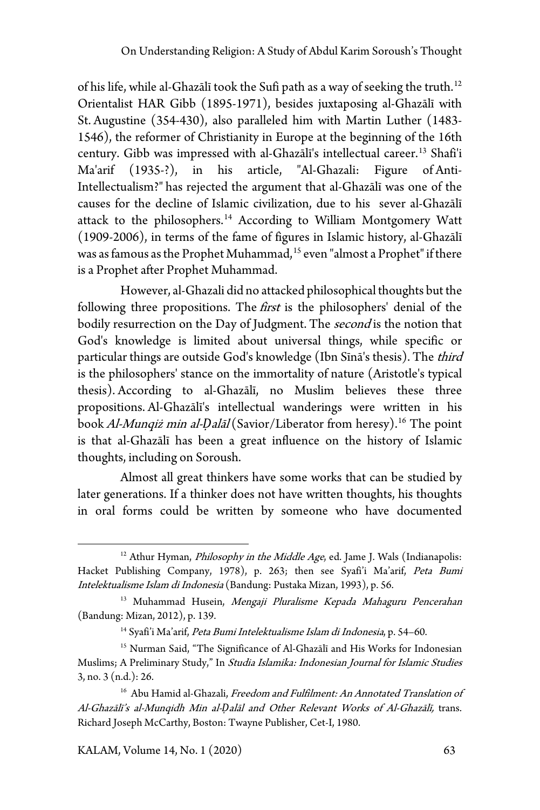of his life, while al-Ghazālī took the Sufi path as a way of seeking the truth.<sup>[12](#page-6-0)</sup> Orientalist HAR Gibb (1895-1971), besides juxtaposing al-Ghazālī with St. Augustine (354-430), also paralleled him with Martin Luther (1483- 1546), the reformer of Christianity in Europe at the beginning of the 16th century. Gibb was impressed with al-Ghazālī's intellectual career.[13](#page-6-1) Shafi'i Ma'arif (1935-?), in his article, "Al-Ghazali: Figure of Anti-Intellectualism?" has rejected the argument that al-Ghazālī was one of the causes for the decline of Islamic civilization, due to his sever al-Ghazālī attack to the philosophers.<sup>[14](#page-6-2)</sup> According to William Montgomery Watt (1909-2006), in terms of the fame of figures in Islamic history, al-Ghazālī was as famous as the Prophet Muhammad,<sup>[15](#page-6-3)</sup> even "almost a Prophet" if there is a Prophet after Prophet Muhammad.

However, al-Ghazali did no attacked philosophical thoughts but the following three propositions. The first is the philosophers' denial of the bodily resurrection on the Day of Judgment. The *second* is the notion that God's knowledge is limited about universal things, while specific or particular things are outside God's knowledge (Ibn Sīnā's thesis). The third is the philosophers' stance on the immortality of nature (Aristotle's typical thesis). According to al-Ghazālī, no Muslim believes these three propositions. Al-Ghazālī's intellectual wanderings were written in his book Al-Munqiż min al-Dalāl (Savior/Liberator from heresy).<sup>[16](#page-6-4)</sup> The point is that al-Ghazālī has been a great influence on the history of Islamic thoughts, including on Soroush.

Almost all great thinkers have some works that can be studied by later generations. If a thinker does not have written thoughts, his thoughts in oral forms could be written by someone who have documented

KALAM, Volume 14, No. 1 (2020) 63

<span id="page-6-0"></span> $12$  Athur Hyman, *Philosophy in the Middle Age*, ed. Jame J. Wals (Indianapolis: Hacket Publishing Company, 1978), p. 263; then see Syafi'i Ma'arif, Peta Bumi Intelektualisme Islam di Indonesia (Bandung: Pustaka Mizan, 1993), p. 56.

<span id="page-6-1"></span><sup>&</sup>lt;sup>13</sup> Muhammad Husein, Mengaji Pluralisme Kepada Mahaguru Pencerahan (Bandung: Mizan, 2012), p. 139.

<sup>&</sup>lt;sup>14</sup> Syafi'i Ma'arif, Peta Bumi Intelektualisme Islam di Indonesia, p. 54-60.

<span id="page-6-3"></span><span id="page-6-2"></span><sup>&</sup>lt;sup>15</sup> Nurman Said, "The Significance of Al-Ghazālī and His Works for Indonesian Muslims; A Preliminary Study," In Studia Islamika: Indonesian Journal for Islamic Studies 3, no. 3 (n.d.): 26.

<span id="page-6-4"></span><sup>&</sup>lt;sup>16</sup> Abu Hamid al-Ghazali, Freedom and Fulfilment: An Annotated Translation of Al-Ghazālī's al-Munqidh Min al-*Ḍ*alāl and Other Relevant Works of Al-Ghazālī, trans. Richard Joseph McCarthy, Boston: Twayne Publisher, Cet-I, 1980.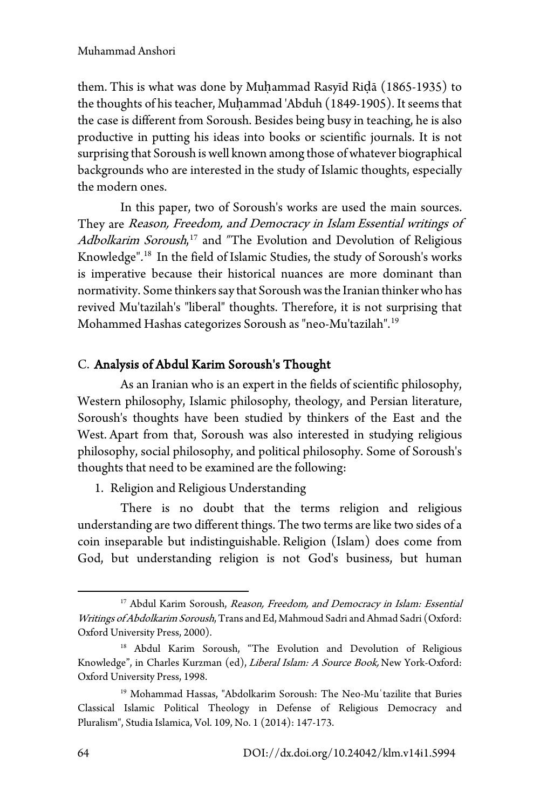them. This is what was done by Muḥammad Rasyīd Riḍā (1865-1935) to the thoughts of his teacher, Muḥammad 'Abduh (1849-1905). It seems that the case is different from Soroush. Besides being busy in teaching, he is also productive in putting his ideas into books or scientific journals. It is not surprising that Soroush is well known among those of whatever biographical backgrounds who are interested in the study of Islamic thoughts, especially the modern ones.

In this paper, two of Soroush's works are used the main sources. They are Reason, Freedom, and Democracy in Islam Essential writings of Adbolkarim Soroush,<sup>[17](#page-7-0)</sup> and "The Evolution and Devolution of Religious Knowledge". [18](#page-7-1) In the field of Islamic Studies, the study of Soroush's works is imperative because their historical nuances are more dominant than normativity. Some thinkers say that Soroush was the Iranian thinker who has revived Mu'tazilah's "liberal" thoughts. Therefore, it is not surprising that Mohammed Hashas categorizes Soroush as "neo-Mu'tazilah". [19](#page-7-2)

## C. Analysis of Abdul Karim Soroush's Thought

As an Iranian who is an expert in the fields of scientific philosophy, Western philosophy, Islamic philosophy, theology, and Persian literature, Soroush's thoughts have been studied by thinkers of the East and the West. Apart from that, Soroush was also interested in studying religious philosophy, social philosophy, and political philosophy. Some of Soroush's thoughts that need to be examined are the following:

1. Religion and Religious Understanding

There is no doubt that the terms religion and religious understanding are two different things. The two terms are like two sides of a coin inseparable but indistinguishable. Religion (Islam) does come from God, but understanding religion is not God's business, but human

<span id="page-7-0"></span><sup>&</sup>lt;sup>17</sup> Abdul Karim Soroush, Reason, Freedom, and Democracy in Islam: Essential Writings of Abdolkarim Soroush, Trans and Ed, Mahmoud Sadri and Ahmad Sadri (Oxford: Oxford University Press, 2000).

<span id="page-7-1"></span><sup>18</sup> Abdul Karim Soroush, "The Evolution and Devolution of Religious Knowledge", in Charles Kurzman (ed), Liberal Islam: A Source Book, New York-Oxford: Oxford University Press, 1998.

<span id="page-7-2"></span><sup>&</sup>lt;sup>19</sup> Mohammad Hassas, "Abdolkarim Soroush: The Neo-Muʿtazilite that Buries Classical Islamic Political Theology in Defense of Religious Democracy and Pluralism", Studia Islamica, Vol. 109, No. 1 (2014): 147-173.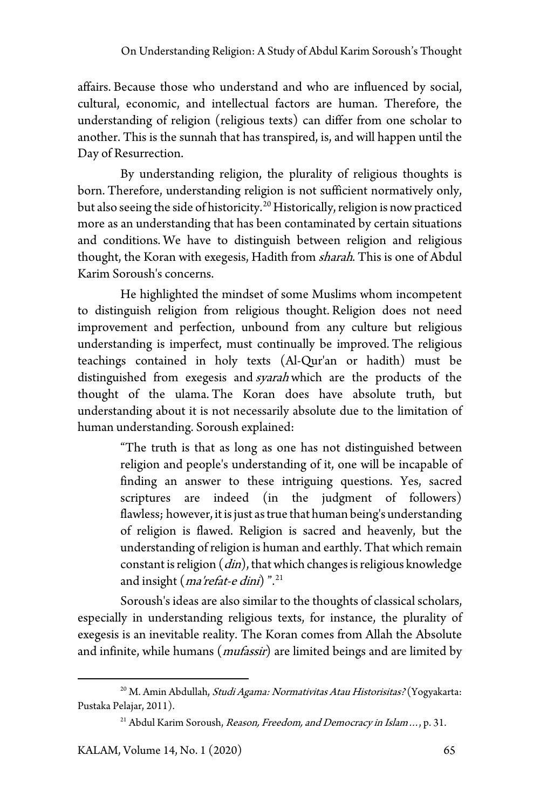affairs. Because those who understand and who are influenced by social, cultural, economic, and intellectual factors are human. Therefore, the understanding of religion (religious texts) can differ from one scholar to another. This is the sunnah that has transpired, is, and will happen until the Day of Resurrection.

By understanding religion, the plurality of religious thoughts is born. Therefore, understanding religion is not sufficient normatively only, but also seeing the side of historicity.[20](#page-8-0) Historically, religion is now practiced more as an understanding that has been contaminated by certain situations and conditions. We have to distinguish between religion and religious thought, the Koran with exegesis, Hadith from sharah. This is one of Abdul Karim Soroush's concerns.

He highlighted the mindset of some Muslims whom incompetent to distinguish religion from religious thought. Religion does not need improvement and perfection, unbound from any culture but religious understanding is imperfect, must continually be improved. The religious teachings contained in holy texts (Al-Qur'an or hadith) must be distinguished from exegesis and *syarah* which are the products of the thought of the ulama. The Koran does have absolute truth, but understanding about it is not necessarily absolute due to the limitation of human understanding. Soroush explained:

> "The truth is that as long as one has not distinguished between religion and people's understanding of it, one will be incapable of finding an answer to these intriguing questions. Yes, sacred scriptures are indeed (in the judgment of followers) flawless; however, it is just as true that human being's understanding of religion is flawed. Religion is sacred and heavenly, but the understanding of religion is human and earthly. That which remain constant is religion  $(din)$ , that which changes is religious knowledge and insight (*ma'refat-e dini*)".<sup>[21](#page-8-1)</sup>

Soroush's ideas are also similar to the thoughts of classical scholars, especially in understanding religious texts, for instance, the plurality of exegesis is an inevitable reality. The Koran comes from Allah the Absolute and infinite, while humans (*mufassir*) are limited beings and are limited by

<span id="page-8-1"></span><span id="page-8-0"></span><sup>&</sup>lt;sup>20</sup> M. Amin Abdullah, *Studi Agama: Normativitas Atau Historisitas?* (Yogyakarta: Pustaka Pelajar, 2011).

<sup>&</sup>lt;sup>21</sup> Abdul Karim Soroush, Reason, Freedom, and Democracy in Islam ..., p. 31.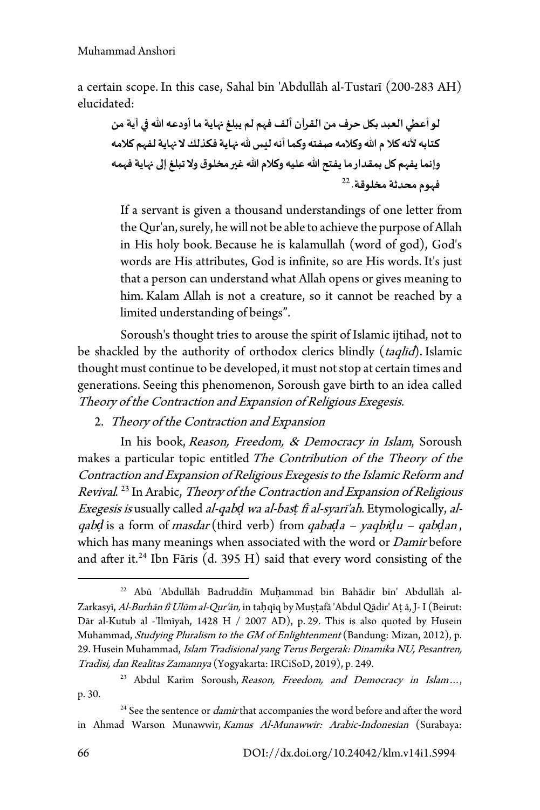a certain scope. In this case, Sahal bin 'Abdullāh al-Tustarī (200-283 AH) elucidated:

**لو أعطي العبد ب�ل حرف من القرآن ألف فهم لم يبلغ ��اية ما أودعھ الله �� آية من كتابھ لأ نھ كلا م الله وكلامھ صفتھ وكما أنھ ليس � ��اية فكذلك لا ��اية لفهم كلامھ وإنما يفهم �ل بمقدار ما يفتح الله عليھ وكلام الله غ�� مخلوق ولا تبلغ إ�� ��اية فهمھ**  [22](#page-9-0) **فهوم محدثة مخلوقة**.

If a servant is given a thousand understandings of one letter from the Qur'an, surely, he will not be able to achieve the purpose of Allah in His holy book. Because he is kalamullah (word of god), God's words are His attributes, God is infinite, so are His words. It's just that a person can understand what Allah opens or gives meaning to him. Kalam Allah is not a creature, so it cannot be reached by a limited understanding of beings".

Soroush's thought tries to arouse the spirit of Islamic ijtihad, not to be shackled by the authority of orthodox clerics blindly (taqlīd). Islamic thought must continue to be developed, it must not stop at certain times and generations. Seeing this phenomenon, Soroush gave birth to an idea called Theory of the Contraction and Expansion of Religious Exegesis.

2. Theory of the Contraction and Expansion

In his book, Reason, Freedom, & Democracy in Islam, Soroush makes a particular topic entitled The Contribution of the Theory of the Contraction and Expansion of Religious Exegesis to the Islamic Reform and Revival. [23](#page-9-1) In Arabic, Theory of the Contraction and Expansion of Religious Exegesis is usually called al-qab*ḍ* wa al-bas*ṭ* fī al-syarī'ah. Etymologically, alqab*ḍ* is a form of masdar (third verb) from qaba*ḍ*a – yaqbi*ḍ*u – qab*ḍ*an , which has many meanings when associated with the word or Damir before and after it.<sup>[24](#page-9-2)</sup> Ibn Fāris (d. 395 H) said that every word consisting of the

<span id="page-9-0"></span><sup>22</sup> Abū 'Abdullāh Badruddīn Muḥammad bin Bahādir bin' Abdullāh al-Zarkasyī, Al-Burhān fī Ulūm al-Qur'ān, in taḥqīq by Muṣṭafā 'Abdul Qādir' Aṭ ā, J- I (Beirut: Dār al-Kutub al -'Ilmīyah, 1428 H / 2007 AD), p. 29. This is also quoted by Husein Muhammad, Studying Pluralism to the GM of Enlightenment (Bandung: Mizan, 2012), p. 29. Husein Muhammad, Islam Tradisional yang Terus Bergerak: Dinamika NU, Pesantren, Tradisi, dan Realitas Zamannya (Yogyakarta: IRCiSoD, 2019), p. 249.

<span id="page-9-1"></span><sup>&</sup>lt;sup>23</sup> Abdul Karim Soroush, Reason, Freedom, and Democracy in Islam..., p. 30.

<span id="page-9-2"></span><sup>&</sup>lt;sup>24</sup> See the sentence or *damir* that accompanies the word before and after the word in Ahmad Warson Munawwir, Kamus Al-Munawwir: Arabic-Indonesian (Surabaya: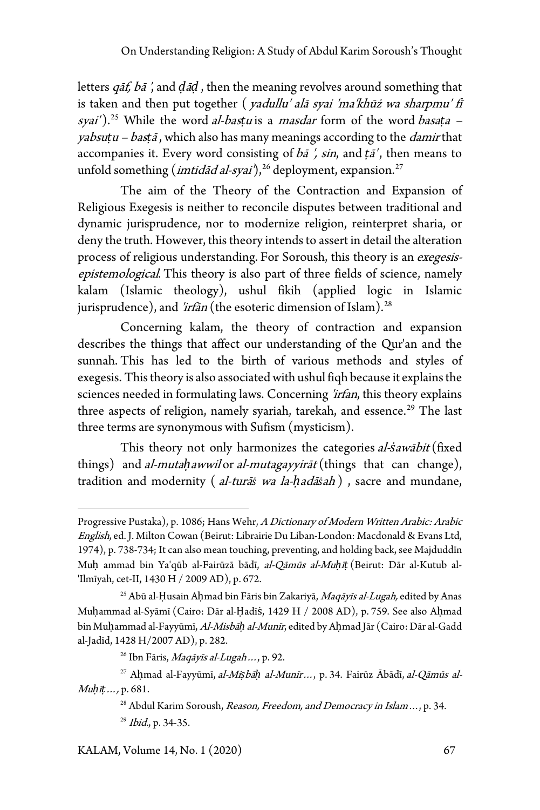letters qāf, bā ', and *ḍ*ā*ḍ* , then the meaning revolves around something that is taken and then put together ( yadullu' alā syai 'ma'khūż wa sharpmu' fī syai').<sup>[25](#page-10-0)</sup> While the word al-bastu is a masdar form of the word basata – yabsu*ṭ*u – bas*ṭ*<sup>ā</sup> , which also has many meanings according to the damir that accompanies it. Every word consisting of bā ', sin, and *ṭ*ā' , then means to unfold something (*imtidad al-syai*'),<sup>26</sup> deployment, expansion.<sup>[27](#page-10-2)</sup>

The aim of the Theory of the Contraction and Expansion of Religious Exegesis is neither to reconcile disputes between traditional and dynamic jurisprudence, nor to modernize religion, reinterpret sharia, or deny the truth. However, this theory intends to assert in detail the alteration process of religious understanding. For Soroush, this theory is an exegesisepistemological. This theory is also part of three fields of science, namely kalam (Islamic theology), ushul fikih (applied logic in Islamic jurisprudence), and 'irfān (the esoteric dimension of Islam).<sup>[28](#page-10-3)</sup>

Concerning kalam, the theory of contraction and expansion describes the things that affect our understanding of the Qur'an and the sunnah. This has led to the birth of various methods and styles of exegesis. This theory is also associated with ushul fiqh because it explains the sciences needed in formulating laws. Concerning 'irfan, this theory explains three aspects of religion, namely syariah, tarekah, and essence.<sup>[29](#page-10-4)</sup> The last three terms are synonymous with Sufism (mysticism).

This theory not only harmonizes the categories al-*ṡ*awābit (fixed things) and al-muta*ḥ*awwil or al-mutagayyirāt (things that can change), tradition and modernity ( al-turā*ṡ* wa la-*ḥ*adā*ṡ*ah ) , sacre and mundane,

<span id="page-10-4"></span>KALAM, Volume 14, No. 1 (2020) 67

Progressive Pustaka), p. 1086; Hans Wehr, A Dictionary of Modern Written Arabic: Arabic English, ed. J. Milton Cowan (Beirut: Librairie Du Liban-London: Macdonald & Evans Ltd, 1974), p. 738-734; It can also mean touching, preventing, and holding back, see Majduddīn Muḥ ammad bin Ya'qūb al-Fairūzā bādī, al-Qāmūs al-Mu*ḥ*ī*ṭ* (Beirut: Dār al-Kutub al- 'Ilmīyah, cet-II, 1430 H / 2009 AD), p. 672.

<span id="page-10-0"></span><sup>&</sup>lt;sup>25</sup> Abū al-Ḥusain Aḥmad bin Fāris bin Zakariyā, Maqāyīs al-Lugah, edited by Anas Muḥammad al-Syāmī (Cairo: Dār al-Ḥadīṡ, 1429 H / 2008 AD), p. 759. See also Aḥmad bin Muḥammad al-Fayyūmī, Al-Misbā*ḥ* al-Munīr, edited by Aḥmad Jār (Cairo: Dār al-Gadd al-Jadīd, 1428 H/2007 AD), p. 282.

 $^{26}$  Ibn Fāris, Maqāyīs al-Lugah ..., p. 92.

<span id="page-10-3"></span><span id="page-10-2"></span><span id="page-10-1"></span><sup>27</sup> Aḥmad al-Fayyūmī, al-Mi*ṣ*bā*ḥ* al-Munīr…, p. 34. Fairūz Ābādī, al-Qāmūs al-Mu*ḥ*ī*ṭ*…, p. 681.

<sup>&</sup>lt;sup>28</sup> Abdul Karim Soroush, Reason, Freedom, and Democracy in Islam ..., p. 34. <sup>29</sup> *Ibid.*, p. 34-35.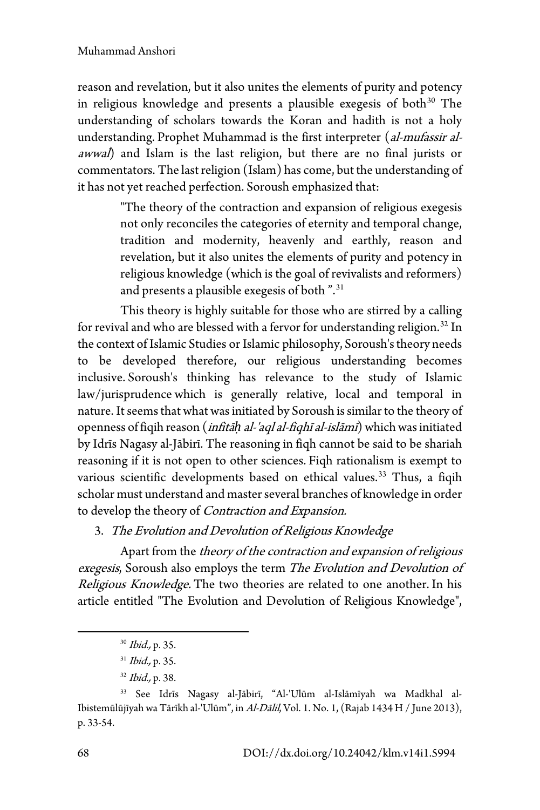reason and revelation, but it also unites the elements of purity and potency in religious knowledge and presents a plausible exegesis of both $30$  The understanding of scholars towards the Koran and hadith is not a holy understanding. Prophet Muhammad is the first interpreter (al-mufassir alawwal) and Islam is the last religion, but there are no final jurists or commentators. The last religion (Islam) has come, but the understanding of it has not yet reached perfection. Soroush emphasized that:

> "The theory of the contraction and expansion of religious exegesis not only reconciles the categories of eternity and temporal change, tradition and modernity, heavenly and earthly, reason and revelation, but it also unites the elements of purity and potency in religious knowledge (which is the goal of revivalists and reformers) and presents a plausible exegesis of both ".[31](#page-11-1)

This theory is highly suitable for those who are stirred by a calling for revival and who are blessed with a fervor for understanding religion.<sup>[32](#page-11-2)</sup> In the context of Islamic Studies or Islamic philosophy, Soroush's theory needs to be developed therefore, our religious understanding becomes inclusive. Soroush's thinking has relevance to the study of Islamic law/jurisprudence which is generally relative, local and temporal in nature. It seems that what was initiated by Soroush is similar to the theory of openness of fiqih reason (infitā*ḥ* al-'aql al-fiqhī al-islāmī) which was initiated by Idrīs Nagasy al-Jābirī. The reasoning in fiqh cannot be said to be shariah reasoning if it is not open to other sciences. Fiqh rationalism is exempt to various scientific developments based on ethical values.<sup>[33](#page-11-3)</sup> Thus, a fiqih scholar must understand and master several branches of knowledge in order to develop the theory of Contraction and Expansion.

3. The Evolution and Devolution of Religious Knowledge

Apart from the theory of the contraction and expansion of religious exegesis, Soroush also employs the term The Evolution and Devolution of Religious Knowledge. The two theories are related to one another. In his article entitled "The Evolution and Devolution of Religious Knowledge",

<sup>30</sup> Ibid., p. 35.

 $31$  *Ibid.*, p. 35.

<sup>32</sup> Ibid., p. 38.

<span id="page-11-3"></span><span id="page-11-2"></span><span id="page-11-1"></span><span id="page-11-0"></span><sup>33</sup> See Idrīs Nagasy al-Jābirī, "Al-'Ulūm al-Islāmīyah wa Madkhal al-Ibistemūlūjīyah wa Tārīkh al-'Ulūm", in Al-Dālil, Vol. 1. No. 1, (Rajab 1434 H / June 2013), p. 33-54.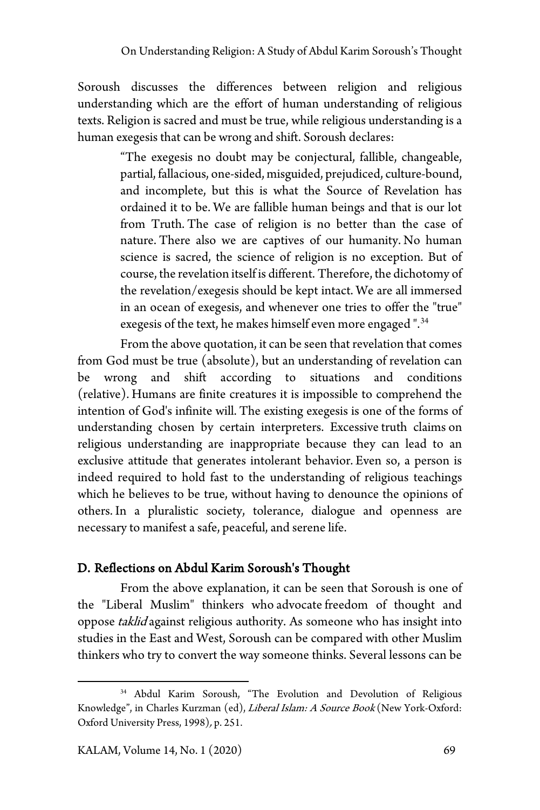Soroush discusses the differences between religion and religious understanding which are the effort of human understanding of religious texts. Religion is sacred and must be true, while religious understanding is a human exegesis that can be wrong and shift. Soroush declares:

> "The exegesis no doubt may be conjectural, fallible, changeable, partial, fallacious, one-sided, misguided, prejudiced, culture-bound, and incomplete, but this is what the Source of Revelation has ordained it to be. We are fallible human beings and that is our lot from Truth. The case of religion is no better than the case of nature. There also we are captives of our humanity. No human science is sacred, the science of religion is no exception. But of course, the revelation itself is different. Therefore, the dichotomy of the revelation/exegesis should be kept intact. We are all immersed in an ocean of exegesis, and whenever one tries to offer the "true" exegesis of the text, he makes himself even more engaged".<sup>[34](#page-12-0)</sup>

From the above quotation, it can be seen that revelation that comes from God must be true (absolute), but an understanding of revelation can be wrong and shift according to situations and conditions (relative). Humans are finite creatures it is impossible to comprehend the intention of God's infinite will. The existing exegesis is one of the forms of understanding chosen by certain interpreters. Excessive truth claims on religious understanding are inappropriate because they can lead to an exclusive attitude that generates intolerant behavior. Even so, a person is indeed required to hold fast to the understanding of religious teachings which he believes to be true, without having to denounce the opinions of others. In a pluralistic society, tolerance, dialogue and openness are necessary to manifest a safe, peaceful, and serene life.

## D. Reflections on Abdul Karim Soroush's Thought

From the above explanation, it can be seen that Soroush is one of the "Liberal Muslim" thinkers who advocate freedom of thought and oppose taklid against religious authority. As someone who has insight into studies in the East and West, Soroush can be compared with other Muslim thinkers who try to convert the way someone thinks. Several lessons can be

<span id="page-12-0"></span><sup>34</sup> Abdul Karim Soroush, "The Evolution and Devolution of Religious Knowledge", in Charles Kurzman (ed), Liberal Islam: A Source Book (New York-Oxford: Oxford University Press, 1998), p. 251.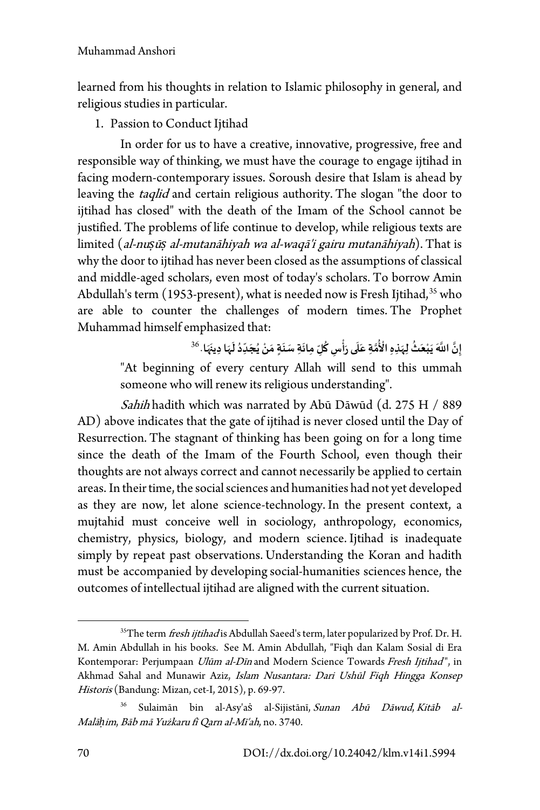learned from his thoughts in relation to Islamic philosophy in general, and religious studies in particular.

1. Passion to Conduct Ijtihad

In order for us to have a creative, innovative, progressive, free and responsible way of thinking, we must have the courage to engage ijtihad in facing modern-contemporary issues. Soroush desire that Islam is ahead by leaving the *taqlid* and certain religious authority. The slogan "the door to ijtihad has closed" with the death of the Imam of the School cannot be justified. The problems of life continue to develop, while religious texts are limited (al-nu*ṣ*ū*ṣ* al-mutanāhiyah wa al-waqā'i gairu mutanāhiyah). That is why the door to ijtihad has never been closed as the assumptions of classical and middle-aged scholars, even most of today's scholars. To borrow Amin Abdullah's term (1953-present), what is needed now is Fresh Ijtihad,  $35$  who are able to counter the challenges of modern times. The Prophet Muhammad himself emphasized that:

**َ**ِ<br>ٰذُّمَّةِ عَلَى رَأْسٍ كُلِّ مِائَةٍ سَنَةٍ مَنْ يُجَدِّدُ لَہَا دِينَہَا **َ ََ َ ََ ََ ُ ْ َ َ َّ** إِنَّ اللَّهَ يَبْعَثُ لِ<sub>ِهَ</sub>نِدِهِ الْأُمَّةِ عَلَى رَأْسٍ كُلِّ مِائَةِ سَنَةٍ مَنْ يُجَدِّدُ لَهَا دِينَهَا. <sup>[36](#page-13-1)</sup> **َ َ** "At beginning of every century Allah will send to this ummah someone who will renew its religious understanding".

Sahih hadith which was narrated by Abū Dāwūd (d. 275 H / 889 AD) above indicates that the gate of ijtihad is never closed until the Day of Resurrection. The stagnant of thinking has been going on for a long time since the death of the Imam of the Fourth School, even though their thoughts are not always correct and cannot necessarily be applied to certain areas. In their time, the social sciences and humanities had not yet developed as they are now, let alone science-technology. In the present context, a mujtahid must conceive well in sociology, anthropology, economics, chemistry, physics, biology, and modern science. Ijtihad is inadequate simply by repeat past observations. Understanding the Koran and hadith must be accompanied by developing social-humanities sciences hence, the outcomes of intellectual ijtihad are aligned with the current situation.

<span id="page-13-0"></span><sup>&</sup>lt;sup>35</sup>The term fresh ijtihad is Abdullah Saeed's term, later popularized by Prof. Dr. H. M. Amin Abdullah in his books. See M. Amin Abdullah, "Fiqh dan Kalam Sosial di Era Kontemporar: Perjumpaan Ulūm al-Dīn and Modern Science Towards Fresh Ijtihad", in Akhmad Sahal and Munawir Aziz, Islam Nusantara: Dari Ushūl Fiqh Hingga Konsep Historis (Bandung: Mizan, cet-I, 2015), p. 69-97.

<span id="page-13-1"></span>Sulaimān bin al-Asy'as al-Sijistānī, Sunan Abū Dāwud, Kitāb al-Malā*ḥ*im, Bāb mā Yużkaru fī Qarn al-Mī'ah, no. 3740.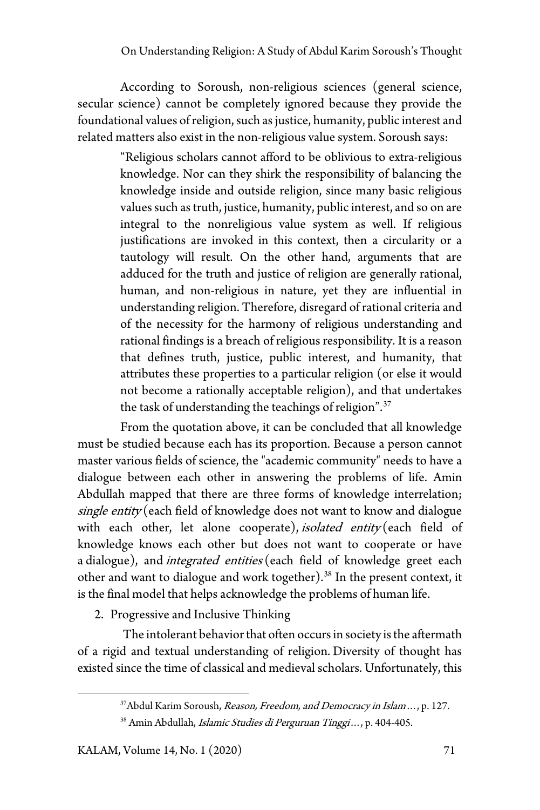According to Soroush, non-religious sciences (general science, secular science) cannot be completely ignored because they provide the foundational values of religion, such as justice, humanity, public interest and related matters also exist in the non-religious value system. Soroush says:

> "Religious scholars cannot afford to be oblivious to extra-religious knowledge. Nor can they shirk the responsibility of balancing the knowledge inside and outside religion, since many basic religious values such as truth, justice, humanity, public interest, and so on are integral to the nonreligious value system as well. If religious justifications are invoked in this context, then a circularity or a tautology will result. On the other hand, arguments that are adduced for the truth and justice of religion are generally rational, human, and non-religious in nature, yet they are influential in understanding religion. Therefore, disregard of rational criteria and of the necessity for the harmony of religious understanding and rational findings is a breach of religious responsibility. It is a reason that defines truth, justice, public interest, and humanity, that attributes these properties to a particular religion (or else it would not become a rationally acceptable religion), and that undertakes the task of understanding the teachings of religion".[37](#page-14-0)

From the quotation above, it can be concluded that all knowledge must be studied because each has its proportion. Because a person cannot master various fields of science, the "academic community" needs to have a dialogue between each other in answering the problems of life. Amin Abdullah mapped that there are three forms of knowledge interrelation; single entity (each field of knowledge does not want to know and dialogue with each other, let alone cooperate), *isolated entity* (each field of knowledge knows each other but does not want to cooperate or have a dialogue), and *integrated entities* (each field of knowledge greet each other and want to dialogue and work together).<sup>[38](#page-14-1)</sup> In the present context, it is the final model that helps acknowledge the problems of human life.

2. Progressive and Inclusive Thinking

<span id="page-14-1"></span><span id="page-14-0"></span>The intolerant behavior that often occurs in society is the aftermath of a rigid and textual understanding of religion. Diversity of thought has existed since the time of classical and medieval scholars. Unfortunately, this

<sup>37</sup> Abdul Karim Soroush, Reason, Freedom, and Democracy in Islam ..., p. 127.

<sup>38</sup> Amin Abdullah, Islamic Studies di Perguruan Tinggi..., p. 404-405.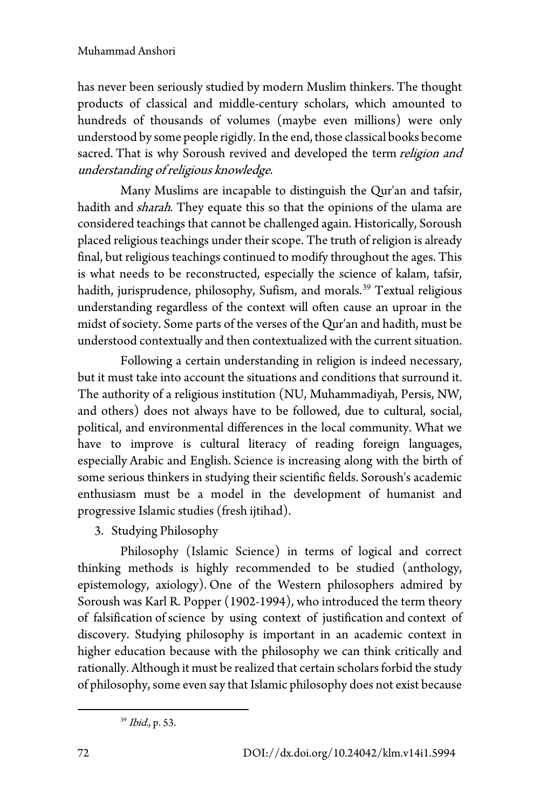### Muhammad Anshori

has never been seriously studied by modern Muslim thinkers. The thought products of classical and middle-century scholars, which amounted to hundreds of thousands of volumes (maybe even millions) were only understood by some people rigidly. In the end, those classical books become sacred. That is why Soroush revived and developed the term religion and understanding of religious knowledge.

Many Muslims are incapable to distinguish the Qur'an and tafsir, hadith and *sharah*. They equate this so that the opinions of the ulama are considered teachings that cannot be challenged again. Historically, Soroush placed religious teachings under their scope. The truth of religion is already final, but religious teachings continued to modify throughout the ages. This is what needs to be reconstructed, especially the science of kalam, tafsir, hadith, jurisprudence, philosophy, Sufism, and morals.<sup>[39](#page-15-0)</sup> Textual religious understanding regardless of the context will often cause an uproar in the midst of society. Some parts of the verses of the Qur'an and hadith, must be understood contextually and then contextualized with the current situation.

Following a certain understanding in religion is indeed necessary, but it must take into account the situations and conditions that surround it. The authority of a religious institution (NU, Muhammadiyah, Persis, NW, and others) does not always have to be followed, due to cultural, social, political, and environmental differences in the local community. What we have to improve is cultural literacy of reading foreign languages, especially Arabic and English. Science is increasing along with the birth of some serious thinkers in studying their scientific fields. Soroush's academic enthusiasm must be a model in the development of humanist and progressive Islamic studies (fresh ijtihad).

3. Studying Philosophy

Philosophy (Islamic Science) in terms of logical and correct thinking methods is highly recommended to be studied (anthology, epistemology, axiology). One of the Western philosophers admired by Soroush was Karl R. Popper (1902-1994), who introduced the term theory of falsification of science by using context of justification and context of discovery. Studying philosophy is important in an academic context in higher education because with the philosophy we can think critically and rationally. Although it must be realized that certain scholars forbid the study of philosophy, some even say that Islamic philosophy does not exist because

<span id="page-15-0"></span><sup>39</sup> Ibid., p. 53.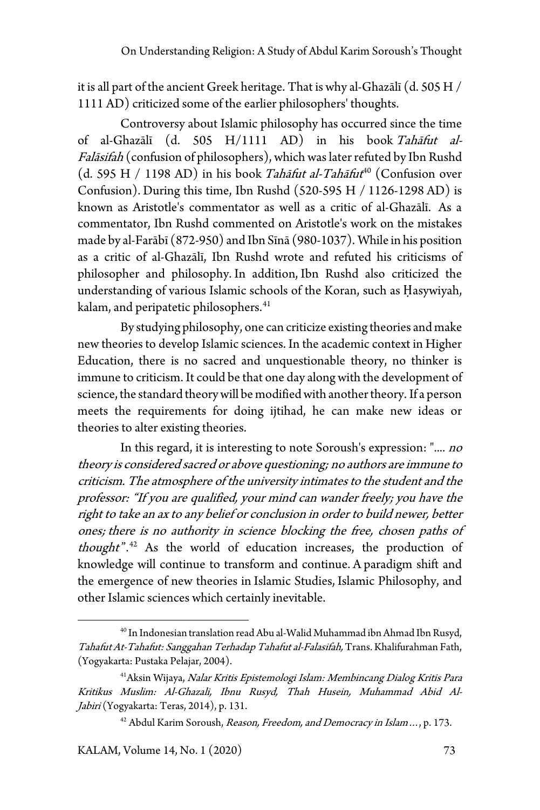it is all part of the ancient Greek heritage. That is why al-Ghazālī (d. 505 H / 1111 AD) criticized some of the earlier philosophers' thoughts.

Controversy about Islamic philosophy has occurred since the time of al-Ghazālī (d. 505 H/1111 AD) in his book Tahāfut al-Falāsifah (confusion of philosophers), which was later refuted by Ibn Rushd (d. 595 H / 1198 AD) in his book Tahāfut al-Tahāfut<sup>[40](#page-16-0)</sup> (Confusion over Confusion). During this time, Ibn Rushd (520-595 H / 1126-1298 AD) is known as Aristotle's commentator as well as a critic of al-Ghazālī. As a commentator, Ibn Rushd commented on Aristotle's work on the mistakes made by al-Farābī (872-950) and Ibn Sīnā (980-1037). While in his position as a critic of al-Ghazālī, Ibn Rushd wrote and refuted his criticisms of philosopher and philosophy. In addition, Ibn Rushd also criticized the understanding of various Islamic schools of the Koran, such as Ḥasywiyah, kalam, and peripatetic philosophers.<sup>[41](#page-16-1)</sup>

By studying philosophy, one can criticize existing theories and make new theories to develop Islamic sciences. In the academic context in Higher Education, there is no sacred and unquestionable theory, no thinker is immune to criticism. It could be that one day along with the development of science, the standard theory will be modified with another theory. If a person meets the requirements for doing ijtihad, he can make new ideas or theories to alter existing theories.

In this regard, it is interesting to note Soroush's expression: ".... no theory is considered sacred or above questioning; no authors are immune to criticism. The atmosphere of the university intimates to the student and the professor: "If you are qualified, your mind can wander freely; you have the right to take an ax to any belief or conclusion in order to build newer, better ones; there is no authority in science blocking the free, chosen paths of thought". $42$  As the world of education increases, the production of knowledge will continue to transform and continue. A paradigm shift and the emergence of new theories in Islamic Studies, Islamic Philosophy, and other Islamic sciences which certainly inevitable.

<span id="page-16-0"></span><sup>40</sup> In Indonesian translation read Abu al-Walid Muhammad ibnAhmad Ibn Rusyd, Tahafut At-Tahafut: Sanggahan Terhadap Tahafut al-Falasifah, Trans. Khalifurahman Fath, (Yogyakarta: Pustaka Pelajar, 2004).

<span id="page-16-2"></span><span id="page-16-1"></span><sup>&</sup>lt;sup>41</sup> Aksin Wijaya, Nalar Kritis Epistemologi Islam: Membincang Dialog Kritis Para Kritikus Muslim: Al-Ghazali, Ibnu Rusyd, Thah Husein, Muhammad Abid Al-Jabiri (Yogyakarta: Teras, 2014), p. 131.

<sup>&</sup>lt;sup>42</sup> Abdul Karim Soroush, Reason, Freedom, and Democracy in Islam ..., p. 173.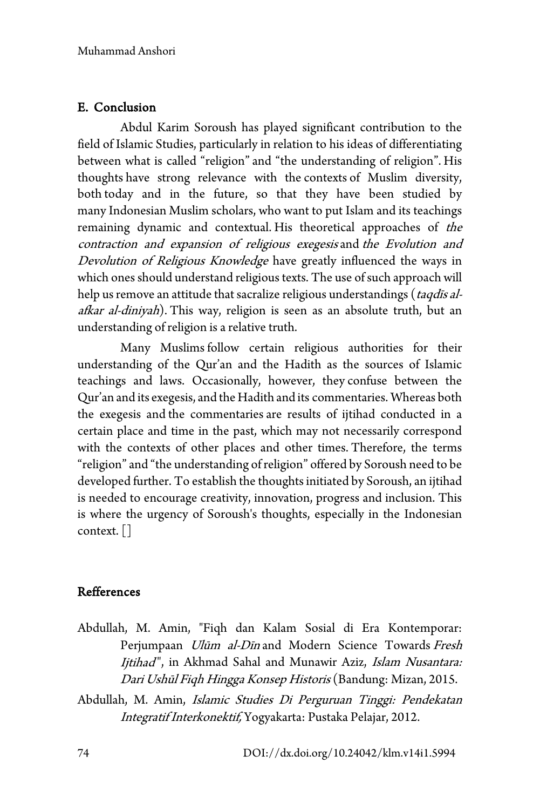## E. Conclusion

Abdul Karim Soroush has played significant contribution to the field of Islamic Studies, particularly in relation to his ideas of differentiating between what is called "religion" and "the understanding of religion". His thoughts have strong relevance with the contexts of Muslim diversity, both today and in the future, so that they have been studied by many Indonesian Muslim scholars, who want to put Islam and its teachings remaining dynamic and contextual. His theoretical approaches of the contraction and expansion of religious exegesis and the Evolution and Devolution of Religious Knowledge have greatly influenced the ways in which ones should understand religious texts. The use of such approach will help us remove an attitude that sacralize religious understandings (*taqdīs al*afkar al-diniyah). This way, religion is seen as an absolute truth, but an understanding of religion is a relative truth.

Many Muslims follow certain religious authorities for their understanding of the Qur'an and the Hadith as the sources of Islamic teachings and laws. Occasionally, however, they confuse between the Qur'an and its exegesis, and the Hadith and its commentaries. Whereas both the exegesis and the commentaries are results of ijtihad conducted in a certain place and time in the past, which may not necessarily correspond with the contexts of other places and other times. Therefore, the terms "religion" and "the understanding of religion" offered by Soroush need to be developed further. To establish the thoughts initiated by Soroush, an ijtihad is needed to encourage creativity, innovation, progress and inclusion. This is where the urgency of Soroush's thoughts, especially in the Indonesian context.[]

## Refferences

- Abdullah, M. Amin, "Fiqh dan Kalam Sosial di Era Kontemporar: Perjumpaan *Ulūm al-Dīn* and Modern Science Towards Fresh Ijtihad", in Akhmad Sahal and Munawir Aziz, Islam Nusantara: Dari Ushūl Fiqh Hingga Konsep Historis (Bandung: Mizan, 2015.
- Abdullah, M. Amin, Islamic Studies Di Perguruan Tinggi: Pendekatan Integratif Interkonektif, Yogyakarta: Pustaka Pelajar, 2012.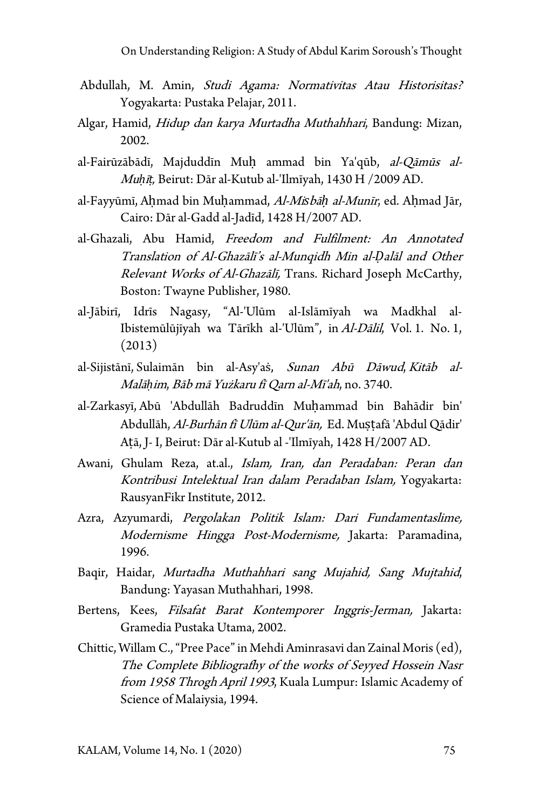- Abdullah, M. Amin, Studi Agama: Normativitas Atau Historisitas? Yogyakarta: Pustaka Pelajar, 2011.
- Algar, Hamid, Hidup dan karya Murtadha Muthahhari, Bandung: Mizan, 2002.
- al-Fairūzābādī, Majduddīn Muh ammad bin Ya'qūb, al-Qāmūs al-Mu*ḥ*ī*ṭ,* Beirut: Dār al-Kutub al-'Ilmīyah, 1430 H /2009 AD.
- al-Fayyūmī, Aḥmad bin Muḥammad, Al-Mi*s*bā*ḥ* al-Munīr, ed. Aḥmad Jār, Cairo: Dār al-Gadd al-Jadīd, 1428 H/2007 AD.
- al-Ghazali, Abu Hamid, Freedom and Fulfilment: An Annotated Translation of Al-Ghazālī's al-Munqidh Min al-*Ḍ*alāl and Other Relevant Works of Al-Ghazālī, Trans. Richard Joseph McCarthy, Boston: Twayne Publisher, 1980.
- al-Jābirī, Idrīs Nagasy, "Al-'Ulūm al-Islāmīyah wa Madkhal al-Ibistemūlūjīyah wa Tārīkh al-'Ulūm", in Al-Dālil, Vol. 1. No. 1, (2013)
- al-Sijistānī, Sulaimān bin al-Asy'as, Sunan Abū Dāwud, Kitāb al-Malā*ḥ*im, Bāb mā Yużkaru fī Qarn al-Mī'ah, no. 3740.
- al-Zarkasyī, Abū 'Abdullāh Badruddīn Muḥammad bin Bahādir bin' Abdullāh, Al-Burhān fī Ulūm al-Qur'ān, Ed. Mustafā 'Abdul Qādir' Aṭā, J- I, Beirut: Dār al-Kutub al -'Ilmīyah, 1428 H/2007 AD.
- Awani, Ghulam Reza, at.al., Islam, Iran, dan Peradaban: Peran dan Kontribusi Intelektual Iran dalam Peradaban Islam, Yogyakarta: RausyanFikr Institute, 2012.
- Azra, Azyumardi, Pergolakan Politik Islam: Dari Fundamentaslime, Modernisme Hingga Post-Modernisme, Jakarta: Paramadina, 1996.
- Baqir, Haidar, Murtadha Muthahhari sang Mujahid, Sang Mujtahid, Bandung: Yayasan Muthahhari, 1998.
- Bertens, Kees, Filsafat Barat Kontemporer Inggris-Jerman, Jakarta: Gramedia Pustaka Utama, 2002.
- Chittic, Willam C.,"Pree Pace"in Mehdi Aminrasavi dan Zainal Moris (ed), The Complete Bibliografhy of the works of Seyyed Hossein Nasr from 1958 Throgh April 1993, Kuala Lumpur: Islamic Academy of Science of Malaiysia, 1994.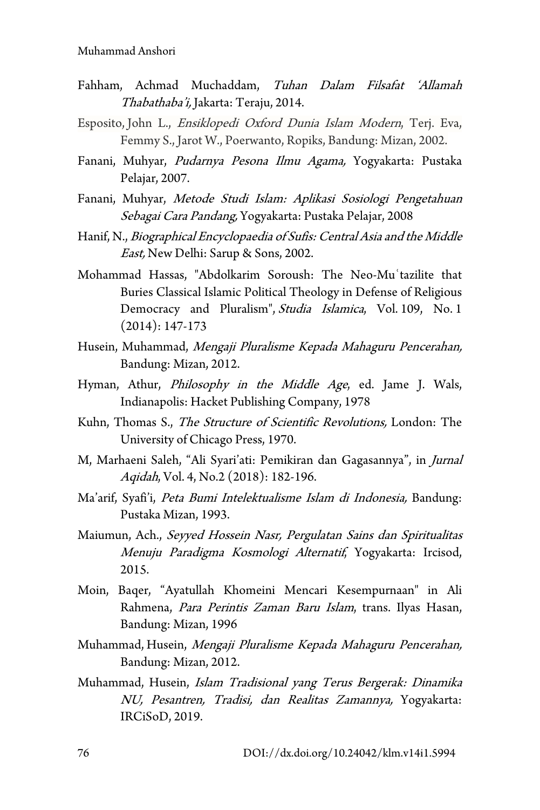- Fahham, Achmad Muchaddam, Tuhan Dalam Filsafat 'Allamah Thabathaba'i, Jakarta: Teraju, 2014.
- Esposito, John L., Ensiklopedi Oxford Dunia Islam Modern, Terj. Eva, Femmy S., Jarot W., Poerwanto, Ropiks, Bandung: Mizan, 2002.
- Fanani, Muhyar, Pudarnya Pesona Ilmu Agama, Yogyakarta: Pustaka Pelajar, 2007.
- Fanani, Muhyar, Metode Studi Islam: Aplikasi Sosiologi Pengetahuan Sebagai Cara Pandang, Yogyakarta: Pustaka Pelajar, 2008
- Hanif, N., Biographical Encyclopaedia of Sufis: Central Asia and the Middle East, New Delhi: Sarup & Sons, 2002.
- Mohammad Hassas, "Abdolkarim Soroush: The Neo-Muʿtazilite that Buries Classical Islamic Political Theology in Defense of Religious Democracy and Pluralism", Studia Islamica, Vol. 109, No. 1 (2014): 147-173
- Husein, Muhammad, Mengaji Pluralisme Kepada Mahaguru Pencerahan, Bandung: Mizan, 2012.
- Hyman, Athur, *Philosophy in the Middle Age*, ed. Jame J. Wals, Indianapolis: Hacket Publishing Company, 1978
- Kuhn, Thomas S., The Structure of Scientific Revolutions, London: The University of Chicago Press, 1970.
- M, Marhaeni Saleh, "Ali Syari'ati: Pemikiran dan Gagasannya", in Jurnal Aqidah, Vol. 4, No.2 (2018): 182-196.
- Ma'arif, Syafi'i, Peta Bumi Intelektualisme Islam di Indonesia, Bandung: Pustaka Mizan, 1993.
- Maiumun, Ach., Seyyed Hossein Nasr, Pergulatan Sains dan Spiritualitas Menuju Paradigma Kosmologi Alternatif, Yogyakarta: Ircisod, 2015.
- Moin, Baqer, "Ayatullah Khomeini Mencari Kesempurnaan" in Ali Rahmena, Para Perintis Zaman Baru Islam, trans. Ilyas Hasan, Bandung: Mizan, 1996
- Muhammad, Husein, Mengaji Pluralisme Kepada Mahaguru Pencerahan, Bandung: Mizan, 2012.
- Muhammad, Husein, Islam Tradisional yang Terus Bergerak: Dinamika NU, Pesantren, Tradisi, dan Realitas Zamannya, Yogyakarta: IRCiSoD, 2019.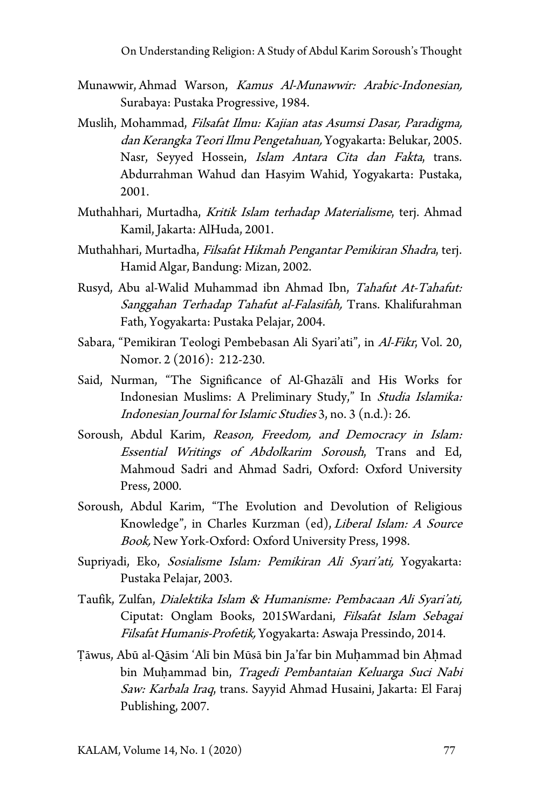- Munawwir, Ahmad Warson, Kamus Al-Munawwir: Arabic-Indonesian, Surabaya: Pustaka Progressive, 1984.
- Muslih, Mohammad, Filsafat Ilmu: Kajian atas Asumsi Dasar, Paradigma, dan Kerangka Teori Ilmu Pengetahuan, Yogyakarta: Belukar, 2005. Nasr, Seyyed Hossein, Islam Antara Cita dan Fakta, trans. Abdurrahman Wahud dan Hasyim Wahid, Yogyakarta: Pustaka, 2001.
- Muthahhari, Murtadha, Kritik Islam terhadap Materialisme, terj. Ahmad Kamil, Jakarta: AlHuda, 2001.
- Muthahhari, Murtadha, Filsafat Hikmah Pengantar Pemikiran Shadra, terj. Hamid Algar, Bandung: Mizan, 2002.
- Rusyd, Abu al-Walid Muhammad ibn Ahmad Ibn, Tahafut At-Tahafut: Sanggahan Terhadap Tahafut al-Falasifah, Trans. Khalifurahman Fath, Yogyakarta: Pustaka Pelajar, 2004.
- Sabara, "Pemikiran Teologi Pembebasan Ali Syari'ati", in Al-Fikr, Vol. 20, Nomor. 2 (2016): 212-230.
- Said, Nurman, "The Significance of Al-Ghazālī and His Works for Indonesian Muslims: A Preliminary Study," In Studia Islamika: Indonesian Journal for Islamic Studies 3, no. 3 (n.d.): 26.
- Soroush, Abdul Karim, Reason, Freedom, and Democracy in Islam: Essential Writings of Abdolkarim Soroush, Trans and Ed, Mahmoud Sadri and Ahmad Sadri, Oxford: Oxford University Press, 2000.
- Soroush, Abdul Karim, "The Evolution and Devolution of Religious Knowledge", in Charles Kurzman (ed), Liberal Islam: A Source Book, New York-Oxford: Oxford University Press, 1998.
- Supriyadi, Eko, Sosialisme Islam: Pemikiran Ali Syari'ati, Yogyakarta: Pustaka Pelajar, 2003.
- Taufik, Zulfan, Dialektika Islam & Humanisme: Pembacaan Ali Syari'ati, Ciputat: Onglam Books, 2015Wardani, Filsafat Islam Sebagai Filsafat Humanis-Profetik, Yogyakarta: Aswaja Pressindo, 2014.
- Ṭāwus, Abū al-Qāsim 'Alī bin Mūsā bin Ja'far bin Muḥammad bin Aḥmad bin Muḥammad bin, Tragedi Pembantaian Keluarga Suci Nabi Saw: Karbala Iraq, trans. Sayyid Ahmad Husaini, Jakarta: El Faraj Publishing, 2007.